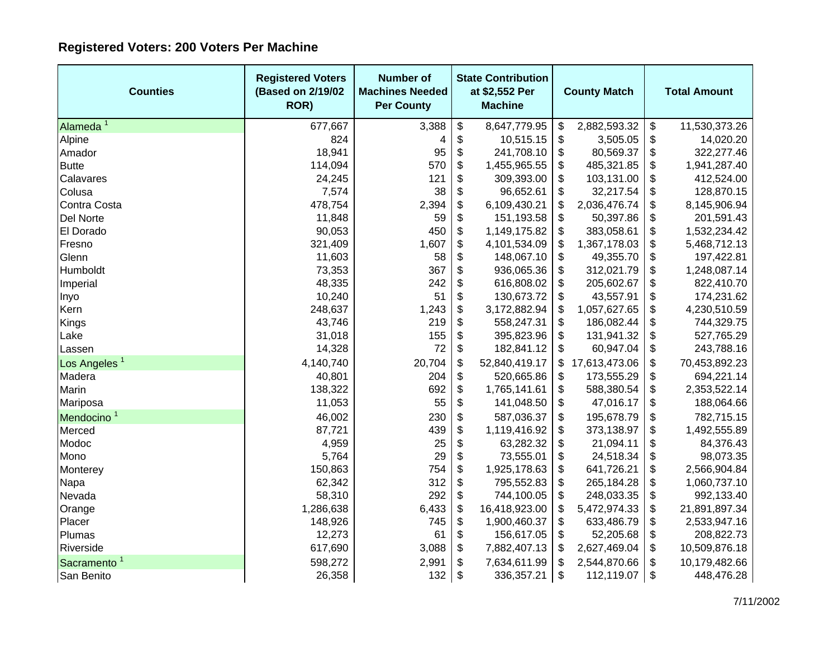## **Registered Voters: 200 Voters Per Machine**

| <b>Counties</b>          | <b>Registered Voters</b><br>(Based on 2/19/02<br>ROR) | <b>Number of</b><br><b>Machines Needed</b><br><b>Per County</b> | <b>State Contribution</b><br>at \$2,552 Per<br><b>Machine</b> | <b>County Match</b> |               | <b>Total Amount</b>       |               |
|--------------------------|-------------------------------------------------------|-----------------------------------------------------------------|---------------------------------------------------------------|---------------------|---------------|---------------------------|---------------|
| Alameda <sup>1</sup>     | 677,667                                               | 3,388                                                           | \$<br>8,647,779.95                                            | \$                  | 2,882,593.32  | \$                        | 11,530,373.26 |
| Alpine                   | 824                                                   | 4                                                               | \$<br>10,515.15                                               | \$                  | 3,505.05      | \$                        | 14,020.20     |
| Amador                   | 18,941                                                | 95                                                              | \$<br>241,708.10                                              | \$                  | 80,569.37     | \$                        | 322,277.46    |
| <b>Butte</b>             | 114,094                                               | 570                                                             | \$<br>1,455,965.55                                            | \$                  | 485,321.85    | \$                        | 1,941,287.40  |
| Calavares                | 24,245                                                | 121                                                             | \$<br>309,393.00                                              | \$                  | 103,131.00    | \$                        | 412,524.00    |
| Colusa                   | 7,574                                                 | 38                                                              | \$<br>96,652.61                                               | \$                  | 32,217.54     | \$                        | 128,870.15    |
| Contra Costa             | 478,754                                               | 2,394                                                           | \$<br>6,109,430.21                                            | \$                  | 2,036,476.74  | \$                        | 8,145,906.94  |
| Del Norte                | 11,848                                                | 59                                                              | \$<br>151,193.58                                              | \$                  | 50,397.86     | \$                        | 201,591.43    |
| El Dorado                | 90,053                                                | 450                                                             | \$<br>1,149,175.82                                            | \$                  | 383,058.61    | \$                        | 1,532,234.42  |
| Fresno                   | 321,409                                               | 1,607                                                           | \$<br>4,101,534.09                                            | \$                  | 1,367,178.03  | \$                        | 5,468,712.13  |
| Glenn                    | 11,603                                                | 58                                                              | \$<br>148,067.10                                              | \$                  | 49,355.70     | \$                        | 197,422.81    |
| Humboldt                 | 73,353                                                | 367                                                             | \$<br>936,065.36                                              | \$                  | 312,021.79    | \$                        | 1,248,087.14  |
| Imperial                 | 48,335                                                | 242                                                             | \$<br>616,808.02                                              | \$                  | 205,602.67    | \$                        | 822,410.70    |
| Inyo                     | 10,240                                                | 51                                                              | \$<br>130,673.72                                              | \$                  | 43,557.91     | \$                        | 174,231.62    |
| Kern                     | 248,637                                               | 1,243                                                           | \$<br>3,172,882.94                                            | \$                  | 1,057,627.65  | \$                        | 4,230,510.59  |
| Kings                    | 43,746                                                | 219                                                             | \$<br>558,247.31                                              | \$                  | 186,082.44    | \$                        | 744,329.75    |
| Lake                     | 31,018                                                | 155                                                             | \$<br>395,823.96                                              | \$                  | 131,941.32    | \$                        | 527,765.29    |
| Lassen                   | 14,328                                                | 72                                                              | \$<br>182,841.12                                              | \$                  | 60,947.04     | \$                        | 243,788.16    |
| Los Angeles <sup>1</sup> | 4,140,740                                             | 20,704                                                          | \$<br>52,840,419.17                                           | \$                  | 17,613,473.06 | \$                        | 70,453,892.23 |
| Madera                   | 40,801                                                | 204                                                             | \$<br>520,665.86                                              | \$                  | 173,555.29    | $\boldsymbol{\mathsf{S}}$ | 694,221.14    |
| Marin                    | 138,322                                               | 692                                                             | \$<br>1,765,141.61                                            | \$                  | 588,380.54    | \$                        | 2,353,522.14  |
| Mariposa                 | 11,053                                                | 55                                                              | \$<br>141,048.50                                              | \$                  | 47,016.17     | \$                        | 188,064.66    |
| Mendocino <sup>1</sup>   | 46,002                                                | 230                                                             | \$<br>587,036.37                                              | \$                  | 195,678.79    | \$                        | 782,715.15    |
| Merced                   | 87,721                                                | 439                                                             | \$<br>1,119,416.92                                            | \$                  | 373,138.97    | \$                        | 1,492,555.89  |
| Modoc                    | 4,959                                                 | 25                                                              | \$<br>63,282.32                                               | \$                  | 21,094.11     | \$                        | 84,376.43     |
| Mono                     | 5,764                                                 | 29                                                              | \$<br>73,555.01                                               | \$                  | 24,518.34     | \$                        | 98,073.35     |
| Monterey                 | 150,863                                               | 754                                                             | \$<br>1,925,178.63                                            | \$                  | 641,726.21    | \$                        | 2,566,904.84  |
| Napa                     | 62,342                                                | 312                                                             | \$<br>795,552.83                                              | \$                  | 265,184.28    | \$                        | 1,060,737.10  |
| Nevada                   | 58,310                                                | 292                                                             | \$<br>744,100.05                                              | \$                  | 248,033.35    | \$                        | 992,133.40    |
| Orange                   | 1,286,638                                             | 6,433                                                           | \$<br>16,418,923.00                                           | \$                  | 5,472,974.33  | \$                        | 21,891,897.34 |
| Placer                   | 148,926                                               | 745                                                             | \$<br>1,900,460.37                                            | \$                  | 633,486.79    | \$                        | 2,533,947.16  |
| Plumas                   | 12,273                                                | 61                                                              | \$<br>156,617.05                                              | \$                  | 52,205.68     | \$                        | 208,822.73    |
| Riverside                | 617,690                                               | 3,088                                                           | \$<br>7,882,407.13                                            | \$                  | 2,627,469.04  | \$                        | 10,509,876.18 |
| Sacramento <sup>1</sup>  | 598,272                                               | 2,991                                                           | \$<br>7,634,611.99                                            | \$                  | 2,544,870.66  | \$                        | 10,179,482.66 |
| San Benito               | 26,358                                                | 132                                                             | \$<br>336,357.21                                              | \$                  | 112,119.07    | \$                        | 448,476.28    |